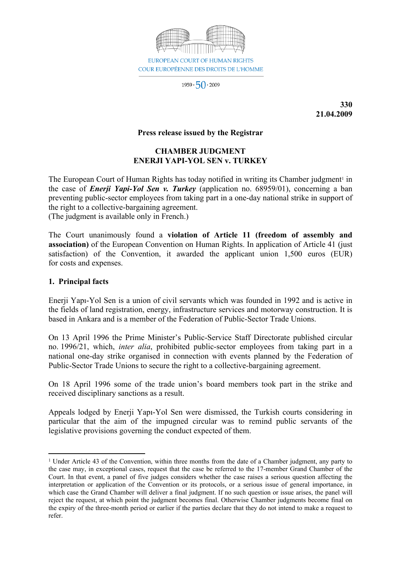

 $1959 \cdot 50 \cdot 2009$ 

**330 21.04.2009**

### **Press release issued by the Registrar**

# **CHAMBER JUDGMENT ENERJI YAPI-YOL SEN v. TURKEY**

The European Court of Human Rights has today notified in writing its Chamber judgment<sup>1</sup> in the case of *Enerji Yapi-Yol Sen v. Turkey* (application no. 68959/01), concerning a ban preventing public-sector employees from taking part in a one-day national strike in support of the right to a collective-bargaining agreement.

(The judgment is available only in French.)

The Court unanimously found a **violation of Article 11 (freedom of assembly and association)** of the European Convention on Human Rights. In application of Article 41 (just satisfaction) of the Convention, it awarded the applicant union 1,500 euros (EUR) for costs and expenses.

#### **1. Principal facts**

Enerji Yapı-Yol Sen is a union of civil servants which was founded in 1992 and is active in the fields of land registration, energy, infrastructure services and motorway construction. It is based in Ankara and is a member of the Federation of Public-Sector Trade Unions.

On 13 April 1996 the Prime Minister's Public-Service Staff Directorate published circular no. 1996/21, which, *inter alia*, prohibited public-sector employees from taking part in a national one-day strike organised in connection with events planned by the Federation of Public-Sector Trade Unions to secure the right to a collective-bargaining agreement.

On 18 April 1996 some of the trade union's board members took part in the strike and received disciplinary sanctions as a result.

Appeals lodged by Enerji Yapı-Yol Sen were dismissed, the Turkish courts considering in particular that the aim of the impugned circular was to remind public servants of the legislative provisions governing the conduct expected of them.

<sup>1</sup> Under Article 43 of the Convention, within three months from the date of a Chamber judgment, any party to the case may, in exceptional cases, request that the case be referred to the 17-member Grand Chamber of the Court. In that event, a panel of five judges considers whether the case raises a serious question affecting the interpretation or application of the Convention or its protocols, or a serious issue of general importance, in which case the Grand Chamber will deliver a final judgment. If no such question or issue arises, the panel will reject the request, at which point the judgment becomes final. Otherwise Chamber judgments become final on the expiry of the three-month period or earlier if the parties declare that they do not intend to make a request to refer.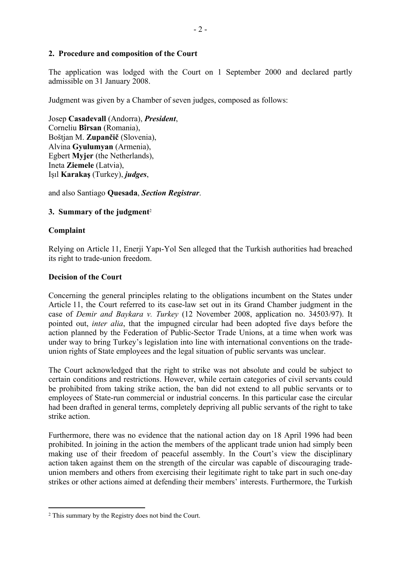## **2. Procedure and composition of the Court**

The application was lodged with the Court on 1 September 2000 and declared partly admissible on 31 January 2008.

Judgment was given by a Chamber of seven judges, composed as follows:

Josep **Casadevall** (Andorra), *President*, Corneliu **Bîrsan** (Romania), Boštjan M. **Zupančič** (Slovenia), Alvina **Gyulumyan** (Armenia), Egbert **Myjer** (the Netherlands), Ineta **Ziemele** (Latvia), Işıl **Karakaş** (Turkey), *judges*,

and also Santiago **Quesada**, *Section Registrar*.

# **3. Summary of the judgment**<sup>2</sup>

## **Complaint**

Relying on Article 11, Enerji Yapı-Yol Sen alleged that the Turkish authorities had breached its right to trade-union freedom.

### **Decision of the Court**

Concerning the general principles relating to the obligations incumbent on the States under Article 11, the Court referred to its case-law set out in its Grand Chamber judgment in the case of *Demir and Baykara v. Turkey* (12 November 2008, application no. 34503/97). It pointed out, *inter alia*, that the impugned circular had been adopted five days before the action planned by the Federation of Public-Sector Trade Unions, at a time when work was under way to bring Turkey's legislation into line with international conventions on the tradeunion rights of State employees and the legal situation of public servants was unclear.

The Court acknowledged that the right to strike was not absolute and could be subject to certain conditions and restrictions. However, while certain categories of civil servants could be prohibited from taking strike action, the ban did not extend to all public servants or to employees of State-run commercial or industrial concerns. In this particular case the circular had been drafted in general terms, completely depriving all public servants of the right to take strike action.

Furthermore, there was no evidence that the national action day on 18 April 1996 had been prohibited. In joining in the action the members of the applicant trade union had simply been making use of their freedom of peaceful assembly. In the Court's view the disciplinary action taken against them on the strength of the circular was capable of discouraging tradeunion members and others from exercising their legitimate right to take part in such one-day strikes or other actions aimed at defending their members' interests. Furthermore, the Turkish

<sup>2</sup> This summary by the Registry does not bind the Court.